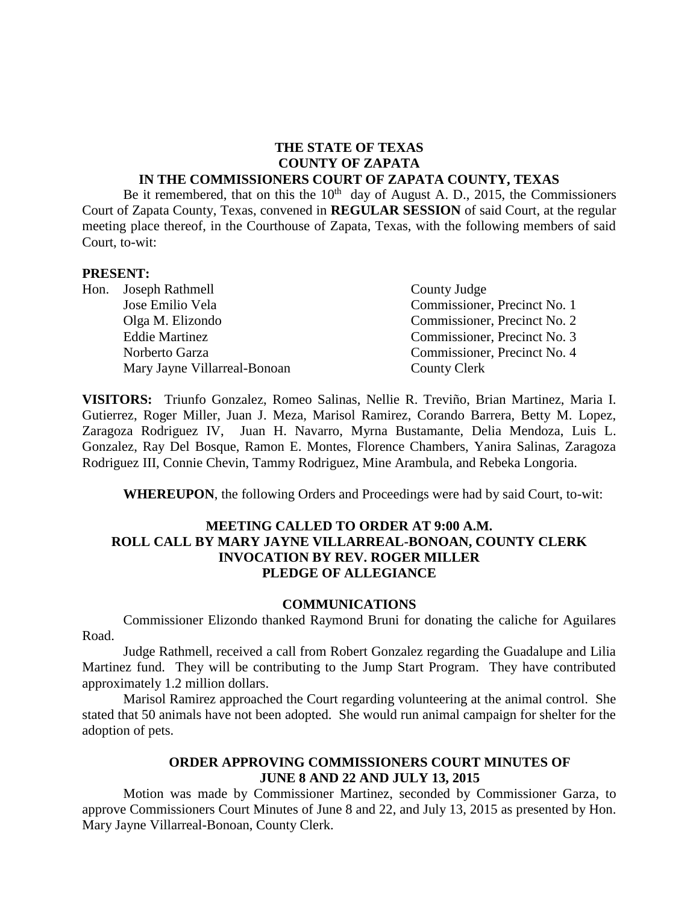#### **THE STATE OF TEXAS COUNTY OF ZAPATA IN THE COMMISSIONERS COURT OF ZAPATA COUNTY, TEXAS**

Be it remembered, that on this the  $10<sup>th</sup>$  day of August A. D., 2015, the Commissioners Court of Zapata County, Texas, convened in **REGULAR SESSION** of said Court, at the regular meeting place thereof, in the Courthouse of Zapata, Texas, with the following members of said Court, to-wit:

#### **PRESENT:**

| Hon. Joseph Rathmell         | County Judge                 |
|------------------------------|------------------------------|
| Jose Emilio Vela             | Commissioner, Precinct No. 1 |
| Olga M. Elizondo             | Commissioner, Precinct No. 2 |
| <b>Eddie Martinez</b>        | Commissioner, Precinct No. 3 |
| Norberto Garza               | Commissioner, Precinct No. 4 |
| Mary Jayne Villarreal-Bonoan | County Clerk                 |

**VISITORS:** Triunfo Gonzalez, Romeo Salinas, Nellie R. Treviño, Brian Martinez, Maria I. Gutierrez, Roger Miller, Juan J. Meza, Marisol Ramirez, Corando Barrera, Betty M. Lopez, Zaragoza Rodriguez IV, Juan H. Navarro, Myrna Bustamante, Delia Mendoza, Luis L. Gonzalez, Ray Del Bosque, Ramon E. Montes, Florence Chambers, Yanira Salinas, Zaragoza Rodriguez III, Connie Chevin, Tammy Rodriguez, Mine Arambula, and Rebeka Longoria.

**WHEREUPON**, the following Orders and Proceedings were had by said Court, to-wit:

#### **MEETING CALLED TO ORDER AT 9:00 A.M. ROLL CALL BY MARY JAYNE VILLARREAL-BONOAN, COUNTY CLERK INVOCATION BY REV. ROGER MILLER PLEDGE OF ALLEGIANCE**

#### **COMMUNICATIONS**

Commissioner Elizondo thanked Raymond Bruni for donating the caliche for Aguilares Road.

Judge Rathmell, received a call from Robert Gonzalez regarding the Guadalupe and Lilia Martinez fund. They will be contributing to the Jump Start Program. They have contributed approximately 1.2 million dollars.

Marisol Ramirez approached the Court regarding volunteering at the animal control. She stated that 50 animals have not been adopted. She would run animal campaign for shelter for the adoption of pets.

#### **ORDER APPROVING COMMISSIONERS COURT MINUTES OF JUNE 8 AND 22 AND JULY 13, 2015**

Motion was made by Commissioner Martinez, seconded by Commissioner Garza, to approve Commissioners Court Minutes of June 8 and 22, and July 13, 2015 as presented by Hon. Mary Jayne Villarreal-Bonoan, County Clerk.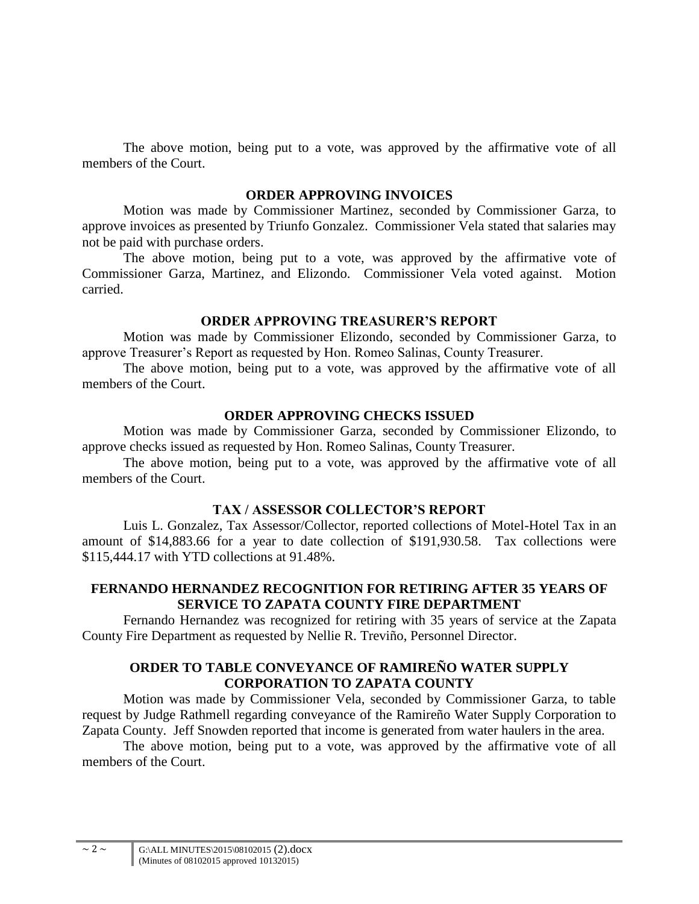The above motion, being put to a vote, was approved by the affirmative vote of all members of the Court.

#### **ORDER APPROVING INVOICES**

Motion was made by Commissioner Martinez, seconded by Commissioner Garza, to approve invoices as presented by Triunfo Gonzalez. Commissioner Vela stated that salaries may not be paid with purchase orders.

The above motion, being put to a vote, was approved by the affirmative vote of Commissioner Garza, Martinez, and Elizondo. Commissioner Vela voted against. Motion carried.

#### **ORDER APPROVING TREASURER'S REPORT**

Motion was made by Commissioner Elizondo, seconded by Commissioner Garza, to approve Treasurer's Report as requested by Hon. Romeo Salinas, County Treasurer.

The above motion, being put to a vote, was approved by the affirmative vote of all members of the Court.

## **ORDER APPROVING CHECKS ISSUED**

Motion was made by Commissioner Garza, seconded by Commissioner Elizondo, to approve checks issued as requested by Hon. Romeo Salinas, County Treasurer.

The above motion, being put to a vote, was approved by the affirmative vote of all members of the Court.

# **TAX / ASSESSOR COLLECTOR'S REPORT**

Luis L. Gonzalez, Tax Assessor/Collector, reported collections of Motel-Hotel Tax in an amount of \$14,883.66 for a year to date collection of \$191,930.58. Tax collections were \$115,444.17 with YTD collections at 91.48%.

## **FERNANDO HERNANDEZ RECOGNITION FOR RETIRING AFTER 35 YEARS OF SERVICE TO ZAPATA COUNTY FIRE DEPARTMENT**

Fernando Hernandez was recognized for retiring with 35 years of service at the Zapata County Fire Department as requested by Nellie R. Treviño, Personnel Director.

# **ORDER TO TABLE CONVEYANCE OF RAMIREÑO WATER SUPPLY CORPORATION TO ZAPATA COUNTY**

Motion was made by Commissioner Vela, seconded by Commissioner Garza, to table request by Judge Rathmell regarding conveyance of the Ramireño Water Supply Corporation to Zapata County. Jeff Snowden reported that income is generated from water haulers in the area.

The above motion, being put to a vote, was approved by the affirmative vote of all members of the Court.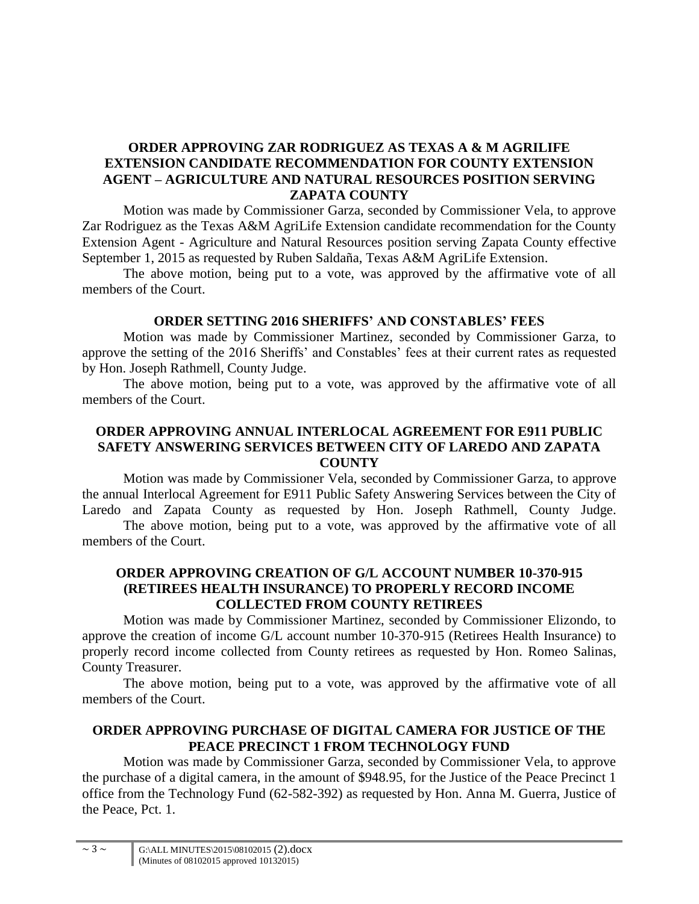# **ORDER APPROVING ZAR RODRIGUEZ AS TEXAS A & M AGRILIFE EXTENSION CANDIDATE RECOMMENDATION FOR COUNTY EXTENSION AGENT – AGRICULTURE AND NATURAL RESOURCES POSITION SERVING ZAPATA COUNTY**

Motion was made by Commissioner Garza, seconded by Commissioner Vela, to approve Zar Rodriguez as the Texas A&M AgriLife Extension candidate recommendation for the County Extension Agent - Agriculture and Natural Resources position serving Zapata County effective September 1, 2015 as requested by Ruben Saldaña, Texas A&M AgriLife Extension.

The above motion, being put to a vote, was approved by the affirmative vote of all members of the Court.

## **ORDER SETTING 2016 SHERIFFS' AND CONSTABLES' FEES**

Motion was made by Commissioner Martinez, seconded by Commissioner Garza, to approve the setting of the 2016 Sheriffs' and Constables' fees at their current rates as requested by Hon. Joseph Rathmell, County Judge.

The above motion, being put to a vote, was approved by the affirmative vote of all members of the Court.

# **ORDER APPROVING ANNUAL INTERLOCAL AGREEMENT FOR E911 PUBLIC SAFETY ANSWERING SERVICES BETWEEN CITY OF LAREDO AND ZAPATA COUNTY**

Motion was made by Commissioner Vela, seconded by Commissioner Garza, to approve the annual Interlocal Agreement for E911 Public Safety Answering Services between the City of Laredo and Zapata County as requested by Hon. Joseph Rathmell, County Judge. The above motion, being put to a vote, was approved by the affirmative vote of all

members of the Court.

# **ORDER APPROVING CREATION OF G/L ACCOUNT NUMBER 10-370-915 (RETIREES HEALTH INSURANCE) TO PROPERLY RECORD INCOME COLLECTED FROM COUNTY RETIREES**

Motion was made by Commissioner Martinez, seconded by Commissioner Elizondo, to approve the creation of income G/L account number 10-370-915 (Retirees Health Insurance) to properly record income collected from County retirees as requested by Hon. Romeo Salinas, County Treasurer.

The above motion, being put to a vote, was approved by the affirmative vote of all members of the Court.

# **ORDER APPROVING PURCHASE OF DIGITAL CAMERA FOR JUSTICE OF THE PEACE PRECINCT 1 FROM TECHNOLOGY FUND**

Motion was made by Commissioner Garza, seconded by Commissioner Vela, to approve the purchase of a digital camera, in the amount of \$948.95, for the Justice of the Peace Precinct 1 office from the Technology Fund (62-582-392) as requested by Hon. Anna M. Guerra, Justice of the Peace, Pct. 1.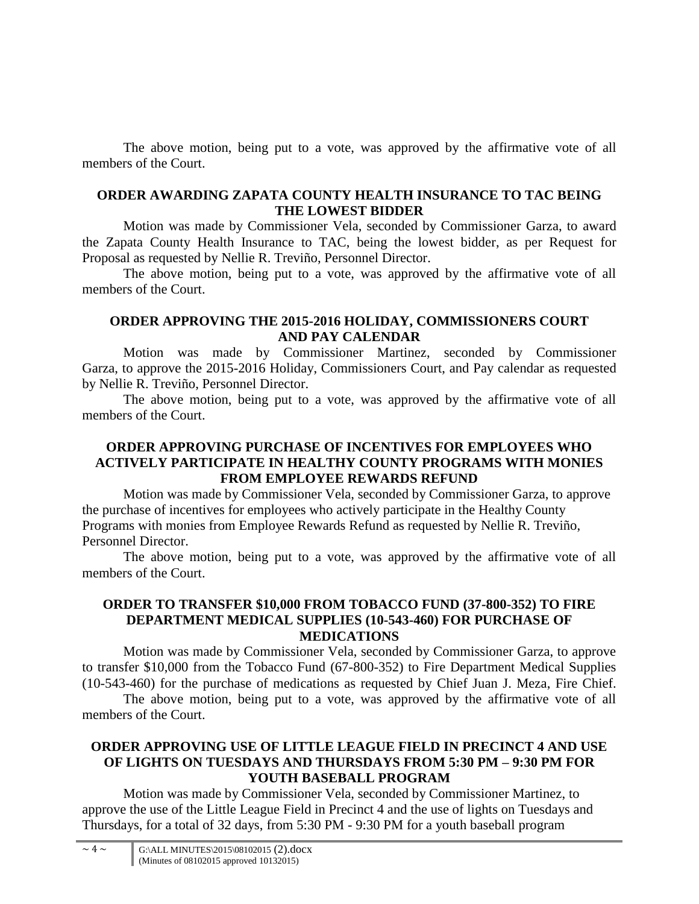The above motion, being put to a vote, was approved by the affirmative vote of all members of the Court.

### **ORDER AWARDING ZAPATA COUNTY HEALTH INSURANCE TO TAC BEING THE LOWEST BIDDER**

Motion was made by Commissioner Vela, seconded by Commissioner Garza, to award the Zapata County Health Insurance to TAC, being the lowest bidder, as per Request for Proposal as requested by Nellie R. Treviño, Personnel Director.

The above motion, being put to a vote, was approved by the affirmative vote of all members of the Court.

## **ORDER APPROVING THE 2015-2016 HOLIDAY, COMMISSIONERS COURT AND PAY CALENDAR**

Motion was made by Commissioner Martinez, seconded by Commissioner Garza, to approve the 2015-2016 Holiday, Commissioners Court, and Pay calendar as requested by Nellie R. Treviño, Personnel Director.

The above motion, being put to a vote, was approved by the affirmative vote of all members of the Court.

# **ORDER APPROVING PURCHASE OF INCENTIVES FOR EMPLOYEES WHO ACTIVELY PARTICIPATE IN HEALTHY COUNTY PROGRAMS WITH MONIES FROM EMPLOYEE REWARDS REFUND**

Motion was made by Commissioner Vela, seconded by Commissioner Garza, to approve the purchase of incentives for employees who actively participate in the Healthy County Programs with monies from Employee Rewards Refund as requested by Nellie R. Treviño, Personnel Director.

The above motion, being put to a vote, was approved by the affirmative vote of all members of the Court.

### **ORDER TO TRANSFER \$10,000 FROM TOBACCO FUND (37-800-352) TO FIRE DEPARTMENT MEDICAL SUPPLIES (10-543-460) FOR PURCHASE OF MEDICATIONS**

Motion was made by Commissioner Vela, seconded by Commissioner Garza, to approve to transfer \$10,000 from the Tobacco Fund (67-800-352) to Fire Department Medical Supplies (10-543-460) for the purchase of medications as requested by Chief Juan J. Meza, Fire Chief.

The above motion, being put to a vote, was approved by the affirmative vote of all members of the Court.

# **ORDER APPROVING USE OF LITTLE LEAGUE FIELD IN PRECINCT 4 AND USE OF LIGHTS ON TUESDAYS AND THURSDAYS FROM 5:30 PM – 9:30 PM FOR YOUTH BASEBALL PROGRAM**

Motion was made by Commissioner Vela, seconded by Commissioner Martinez, to approve the use of the Little League Field in Precinct 4 and the use of lights on Tuesdays and Thursdays, for a total of 32 days, from 5:30 PM - 9:30 PM for a youth baseball program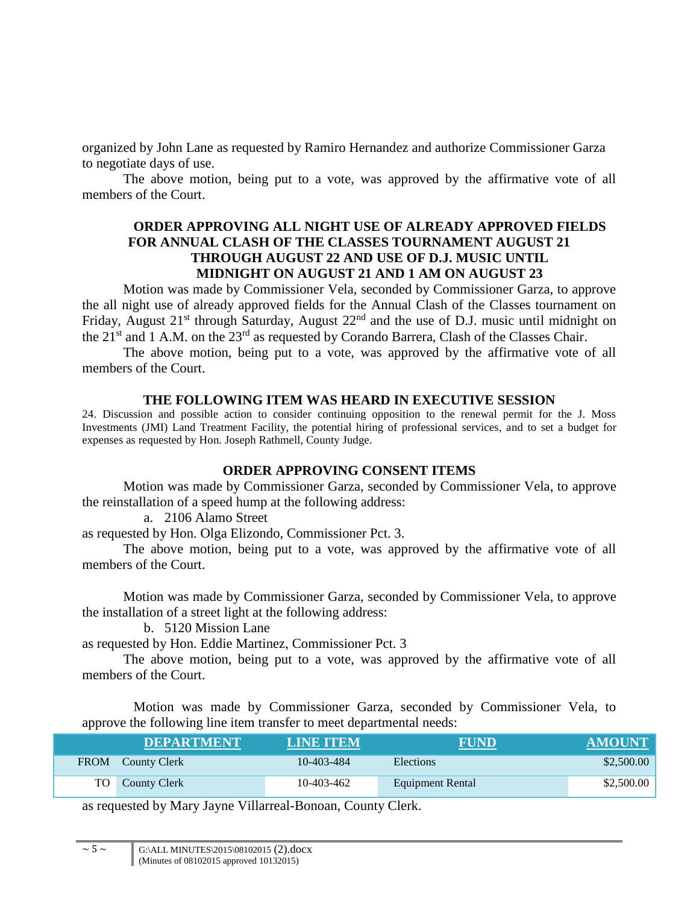organized by John Lane as requested by Ramiro Hernandez and authorize Commissioner Garza to negotiate days of use.

The above motion, being put to a vote, was approved by the affirmative vote of all members of the Court.

### **ORDER APPROVING ALL NIGHT USE OF ALREADY APPROVED FIELDS FOR ANNUAL CLASH OF THE CLASSES TOURNAMENT AUGUST 21 THROUGH AUGUST 22 AND USE OF D.J. MUSIC UNTIL MIDNIGHT ON AUGUST 21 AND 1 AM ON AUGUST 23**

Motion was made by Commissioner Vela, seconded by Commissioner Garza, to approve the all night use of already approved fields for the Annual Clash of the Classes tournament on Friday, August  $21^{st}$  through Saturday, August  $22^{nd}$  and the use of D.J. music until midnight on the 21<sup>st</sup> and 1 A.M. on the 23<sup>rd</sup> as requested by Corando Barrera, Clash of the Classes Chair.

The above motion, being put to a vote, was approved by the affirmative vote of all members of the Court.

#### **THE FOLLOWING ITEM WAS HEARD IN EXECUTIVE SESSION**

24. Discussion and possible action to consider continuing opposition to the renewal permit for the J. Moss Investments (JMI) Land Treatment Facility, the potential hiring of professional services, and to set a budget for expenses as requested by Hon. Joseph Rathmell, County Judge.

# **ORDER APPROVING CONSENT ITEMS**

Motion was made by Commissioner Garza, seconded by Commissioner Vela, to approve the reinstallation of a speed hump at the following address:

a. 2106 Alamo Street

as requested by Hon. Olga Elizondo, Commissioner Pct. 3.

The above motion, being put to a vote, was approved by the affirmative vote of all members of the Court.

Motion was made by Commissioner Garza, seconded by Commissioner Vela, to approve the installation of a street light at the following address:

b. 5120 Mission Lane

as requested by Hon. Eddie Martinez, Commissioner Pct. 3

The above motion, being put to a vote, was approved by the affirmative vote of all members of the Court.

Motion was made by Commissioner Garza, seconded by Commissioner Vela, to approve the following line item transfer to meet departmental needs:

| <b>DEPARTMENT</b>      | LINE ITEM  | <b>FUND</b>      | <b>AMOUNT</b> |
|------------------------|------------|------------------|---------------|
| FROM County Clerk      | 10-403-484 | <b>Elections</b> | \$2,500.00    |
| <b>TO</b> County Clerk | 10-403-462 | Equipment Rental | \$2,500.00    |

as requested by Mary Jayne Villarreal-Bonoan, County Clerk.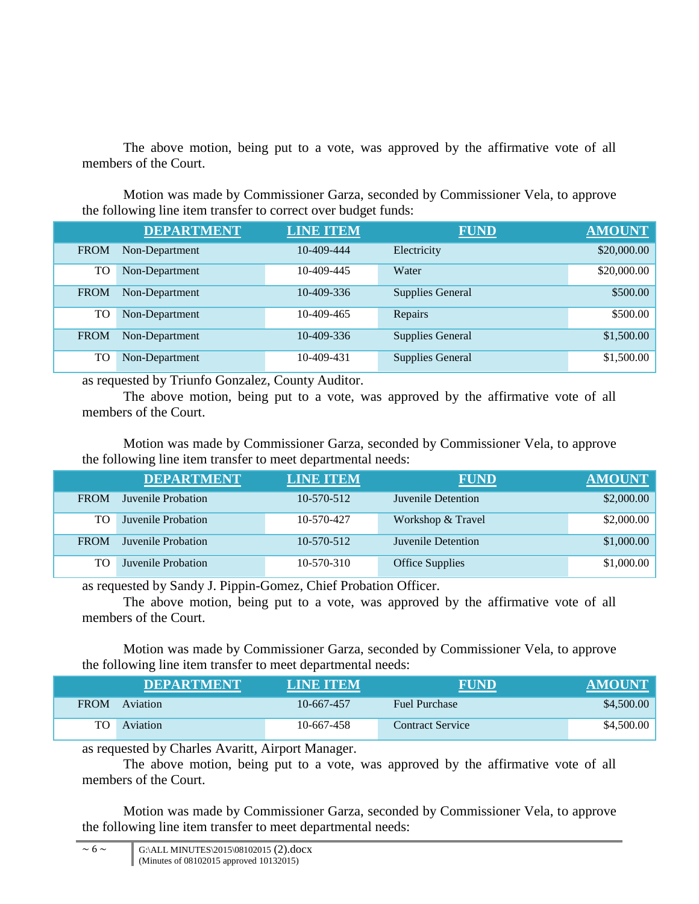The above motion, being put to a vote, was approved by the affirmative vote of all members of the Court.

Motion was made by Commissioner Garza, seconded by Commissioner Vela, to approve the following line item transfer to correct over budget funds:

|             | <b>DEPARTMENT</b> | <b>LINE ITEM</b> | <b>FUND</b>             | <b>AMOUNT</b> |
|-------------|-------------------|------------------|-------------------------|---------------|
| <b>FROM</b> | Non-Department    | 10-409-444       | Electricity             | \$20,000.00   |
| TO          | Non-Department    | 10-409-445       | Water                   | \$20,000.00   |
| <b>FROM</b> | Non-Department    | 10-409-336       | <b>Supplies General</b> | \$500.00      |
| TO          | Non-Department    | 10-409-465       | Repairs                 | \$500.00      |
| <b>FROM</b> | Non-Department    | 10-409-336       | <b>Supplies General</b> | \$1,500.00    |
| TO          | Non-Department    | 10-409-431       | <b>Supplies General</b> | \$1,500.00    |

as requested by Triunfo Gonzalez, County Auditor.

The above motion, being put to a vote, was approved by the affirmative vote of all members of the Court.

Motion was made by Commissioner Garza, seconded by Commissioner Vela, to approve the following line item transfer to meet departmental needs:

|             | <b>DEPARTMENT</b>  | <b>LINE ITEM</b> | <b>FUND</b>            | <b>AMOUNT</b> |
|-------------|--------------------|------------------|------------------------|---------------|
| <b>FROM</b> | Juvenile Probation | $10 - 570 - 512$ | Juvenile Detention     | \$2,000.00    |
| TO.         | Juvenile Probation | 10-570-427       | Workshop & Travel      | \$2,000.00    |
| <b>FROM</b> | Juvenile Probation | $10 - 570 - 512$ | Juvenile Detention     | \$1,000.00    |
| TO.         | Juvenile Probation | $10 - 570 - 310$ | <b>Office Supplies</b> | \$1,000.00    |

as requested by Sandy J. Pippin-Gomez, Chief Probation Officer.

The above motion, being put to a vote, was approved by the affirmative vote of all members of the Court.

Motion was made by Commissioner Garza, seconded by Commissioner Vela, to approve the following line item transfer to meet departmental needs:

|             | <b>DEPARTMENT</b> | LINE ITEM  | <b>FUND</b>             | <b>AMOUNT</b> |
|-------------|-------------------|------------|-------------------------|---------------|
| <b>FROM</b> | Aviation          | 10-667-457 | <b>Fuel Purchase</b>    | \$4,500.00    |
|             | Aviation          | 10-667-458 | <b>Contract Service</b> | \$4,500.00    |

as requested by Charles Avaritt, Airport Manager.

The above motion, being put to a vote, was approved by the affirmative vote of all members of the Court.

Motion was made by Commissioner Garza, seconded by Commissioner Vela, to approve the following line item transfer to meet departmental needs: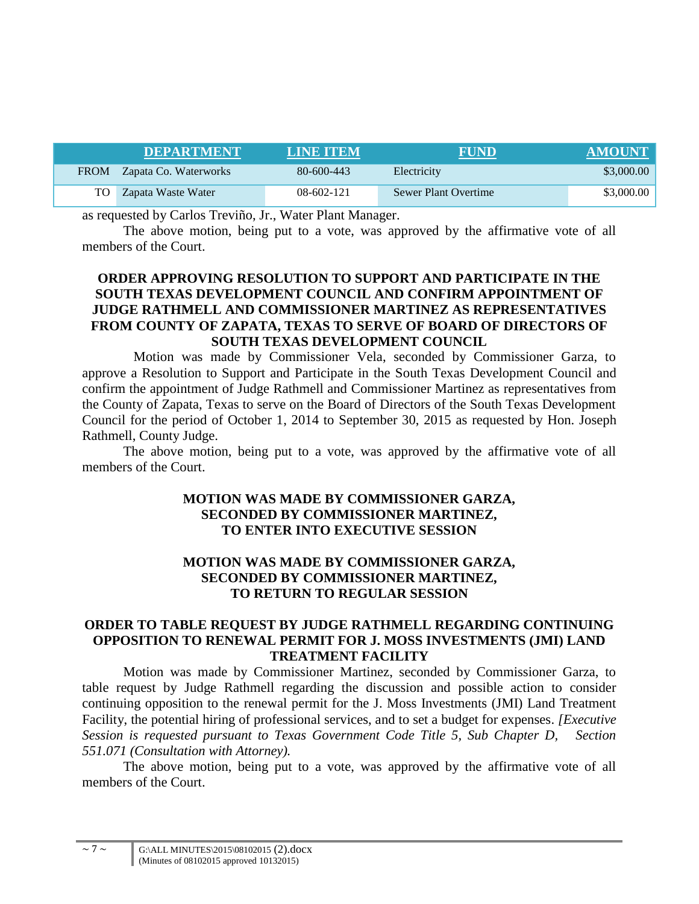| <b>DEPARTMENT</b>          | LIND TEM     | <b>FUND</b>          | <b>AMOUNT</b> |
|----------------------------|--------------|----------------------|---------------|
| FROM Zapata Co. Waterworks | 80-600-443   | Electricity          | \$3,000.00    |
| TO Zapata Waste Water      | $08-602-121$ | Sewer Plant Overtime | \$3,000.00    |

as requested by Carlos Treviño, Jr., Water Plant Manager.

The above motion, being put to a vote, was approved by the affirmative vote of all members of the Court.

# **ORDER APPROVING RESOLUTION TO SUPPORT AND PARTICIPATE IN THE SOUTH TEXAS DEVELOPMENT COUNCIL AND CONFIRM APPOINTMENT OF JUDGE RATHMELL AND COMMISSIONER MARTINEZ AS REPRESENTATIVES FROM COUNTY OF ZAPATA, TEXAS TO SERVE OF BOARD OF DIRECTORS OF SOUTH TEXAS DEVELOPMENT COUNCIL**

Motion was made by Commissioner Vela, seconded by Commissioner Garza, to approve a Resolution to Support and Participate in the South Texas Development Council and confirm the appointment of Judge Rathmell and Commissioner Martinez as representatives from the County of Zapata, Texas to serve on the Board of Directors of the South Texas Development Council for the period of October 1, 2014 to September 30, 2015 as requested by Hon. Joseph Rathmell, County Judge.

The above motion, being put to a vote, was approved by the affirmative vote of all members of the Court.

# **MOTION WAS MADE BY COMMISSIONER GARZA, SECONDED BY COMMISSIONER MARTINEZ, TO ENTER INTO EXECUTIVE SESSION**

# **MOTION WAS MADE BY COMMISSIONER GARZA, SECONDED BY COMMISSIONER MARTINEZ, TO RETURN TO REGULAR SESSION**

### **ORDER TO TABLE REQUEST BY JUDGE RATHMELL REGARDING CONTINUING OPPOSITION TO RENEWAL PERMIT FOR J. MOSS INVESTMENTS (JMI) LAND TREATMENT FACILITY**

Motion was made by Commissioner Martinez, seconded by Commissioner Garza, to table request by Judge Rathmell regarding the discussion and possible action to consider continuing opposition to the renewal permit for the J. Moss Investments (JMI) Land Treatment Facility, the potential hiring of professional services, and to set a budget for expenses. *[Executive Session is requested pursuant to Texas Government Code Title 5, Sub Chapter D, Section 551.071 (Consultation with Attorney).*

The above motion, being put to a vote, was approved by the affirmative vote of all members of the Court.